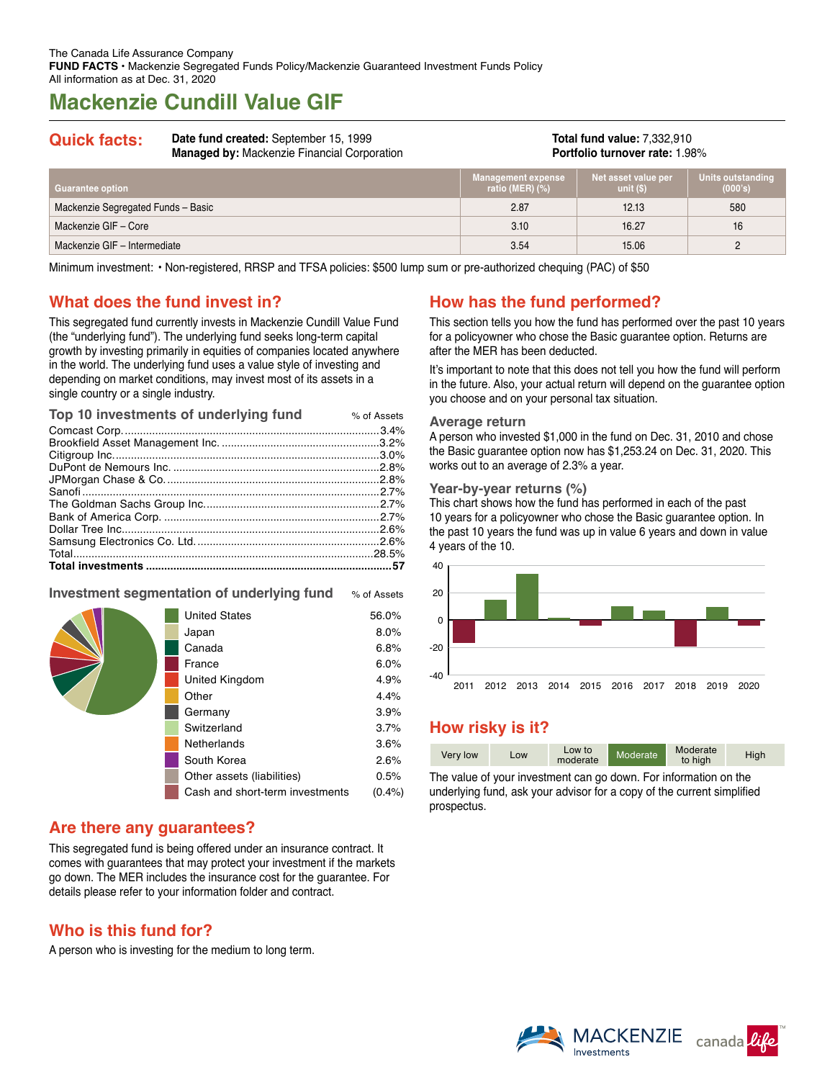# **Mackenzie Cundill Value GIF**

| <b>Quick facts:</b> | Date fund created: September 15, 1999<br><b>Managed by: Mackenzie Financial Corporation</b> | <b>Total fund value: 7,332,910</b><br><b>Portfolio turnover rate: 1.98%</b> |
|---------------------|---------------------------------------------------------------------------------------------|-----------------------------------------------------------------------------|
|                     |                                                                                             |                                                                             |

| Guarantee option                   | <b>Management expense</b><br>ratio (MER) $(\%)$ | Net asset value per<br>unit $(S)$ | Units outstanding<br>(000's) \ |
|------------------------------------|-------------------------------------------------|-----------------------------------|--------------------------------|
| Mackenzie Segregated Funds - Basic | 2.87                                            | 12.13                             | 580                            |
| Mackenzie GIF - Core               | 3.10                                            | 16.27                             | 16                             |
| Mackenzie GIF - Intermediate       | 3.54                                            | 15.06                             |                                |

Minimum investment: • Non-registered, RRSP and TFSA policies: \$500 lump sum or pre-authorized chequing (PAC) of \$50

## **What does the fund invest in?**

This segregated fund currently invests in Mackenzie Cundill Value Fund (the "underlying fund"). The underlying fund seeks long-term capital growth by investing primarily in equities of companies located anywhere in the world. The underlying fund uses a value style of investing and depending on market conditions, may invest most of its assets in a single country or a single industry.

| Top 10 investments of underlying fund | % of Assets |
|---------------------------------------|-------------|
|                                       |             |
|                                       |             |
|                                       |             |
|                                       |             |
|                                       |             |
|                                       |             |
|                                       |             |
|                                       |             |
|                                       |             |
|                                       |             |
|                                       |             |
|                                       |             |

## **Investment segmentation of underlying fund** % of Assets

| <b>United States</b>            | 56.0% |
|---------------------------------|-------|
| Japan                           | 8.0%  |
| Canada                          | 6.8%  |
| France                          | 6.0%  |
| United Kingdom                  | 4.9%  |
| Other                           | 4.4%  |
| Germany                         | 3.9%  |
| Switzerland                     | 3.7%  |
| Netherlands                     | 3.6%  |
| South Korea                     | 2.6%  |
| Other assets (liabilities)      | 0.5%  |
| Cash and short-term investments | (0.4% |
|                                 |       |

## **Are there any guarantees?**

This segregated fund is being offered under an insurance contract. It comes with guarantees that may protect your investment if the markets go down. The MER includes the insurance cost for the guarantee. For details please refer to your information folder and contract.

## **Who is this fund for?**

A person who is investing for the medium to long term.

# **How has the fund performed?**

This section tells you how the fund has performed over the past 10 years for a policyowner who chose the Basic guarantee option. Returns are after the MER has been deducted.

It's important to note that this does not tell you how the fund will perform in the future. Also, your actual return will depend on the guarantee option you choose and on your personal tax situation.

#### **Average return**

A person who invested \$1,000 in the fund on Dec. 31, 2010 and chose the Basic guarantee option now has \$1,253.24 on Dec. 31, 2020. This works out to an average of 2.3% a year.

#### **Year-by-year returns (%)**

This chart shows how the fund has performed in each of the past 10 years for a policyowner who chose the Basic guarantee option. In the past 10 years the fund was up in value 6 years and down in value 4 years of the 10.



## **How risky is it?**

| Very low | Low | Low to<br>moderate | Moderate | Moderate<br>to high | High |
|----------|-----|--------------------|----------|---------------------|------|
|----------|-----|--------------------|----------|---------------------|------|

The value of your investment can go down. For information on the underlying fund, ask your advisor for a copy of the current simplified prospectus.